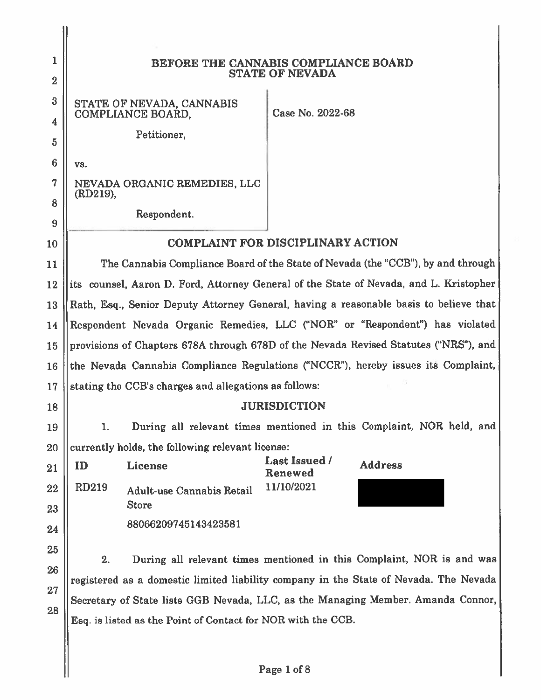| 1               | BEFORE THE CANNABIS COMPLIANCE BOARD<br><b>STATE OF NEVADA</b>                        |                                                                                        |
|-----------------|---------------------------------------------------------------------------------------|----------------------------------------------------------------------------------------|
| $\overline{2}$  |                                                                                       |                                                                                        |
| 3               | STATE OF NEVADA, CANNABIS<br>COMPLIANCE BOARD,                                        | Case No. 2022-68                                                                       |
| 4               | Petitioner,                                                                           |                                                                                        |
| 5               |                                                                                       |                                                                                        |
| $6\phantom{1}6$ | VS.                                                                                   |                                                                                        |
| 7               | NEVADA ORGANIC REMEDIES, LLC<br>(RD219),                                              |                                                                                        |
| 8               | Respondent.                                                                           |                                                                                        |
| 9               |                                                                                       | <b>COMPLAINT FOR DISCIPLINARY ACTION</b>                                               |
| 10              |                                                                                       | The Cannabis Compliance Board of the State of Nevada (the "CCB"), by and through       |
| 11              |                                                                                       |                                                                                        |
| 12              |                                                                                       | its counsel, Aaron D. Ford, Attorney General of the State of Nevada, and L. Kristopher |
| 13              |                                                                                       | Rath, Esq., Senior Deputy Attorney General, having a reasonable basis to believe that  |
| 14              |                                                                                       | Respondent Nevada Organic Remedies, LLC ("NOR" or "Respondent") has violated           |
| 15              | provisions of Chapters 678A through 678D of the Nevada Revised Statutes ("NRS"), and  |                                                                                        |
| 16              | the Nevada Cannabis Compliance Regulations ("NCCR"), hereby issues its Complaint,     |                                                                                        |
| 17              | stating the CCB's charges and allegations as follows:                                 |                                                                                        |
| 18              |                                                                                       | <b>JURISDICTION</b>                                                                    |
| 19              | 1.                                                                                    | During all relevant times mentioned in this Complaint, NOR held, and                   |
| 20              | currently holds, the following relevant license:                                      |                                                                                        |
| 21              | License<br>ID                                                                         | <b>Last Issued /</b><br><b>Address</b><br>Renewed                                      |
| 22              | <b>RD219</b><br><b>Adult-use Cannabis Retail</b>                                      | 11/10/2021                                                                             |
| 23              | <b>Store</b>                                                                          |                                                                                        |
| 24              | 88066209745143423581                                                                  |                                                                                        |
| 25              |                                                                                       |                                                                                        |
| 26              | 2.                                                                                    | During all relevant times mentioned in this Complaint, NOR is and was                  |
| 27              | registered as a domestic limited liability company in the State of Nevada. The Nevada |                                                                                        |
| 28              | Secretary of State lists GGB Nevada, LLC, as the Managing Member. Amanda Connor,      |                                                                                        |
|                 | Esq. is listed as the Point of Contact for NOR with the CCB.                          |                                                                                        |
|                 |                                                                                       |                                                                                        |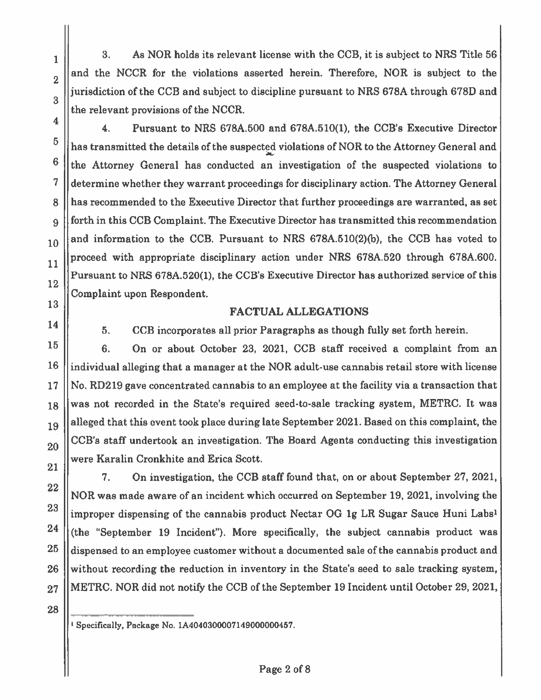3. As NOR holds its relevant license with the CCB, it is subject to NRS Title 56 and the NCCR for the violations asserted herein. Therefore, NOR is subject to the jurisdiction of the CCB and subject to discipline pursuant to NRS 678A through 678D and the relevant provisions of the NCCR.

 $\overline{\mathbf{4}}$ . Pursuant to NRS 678A.500 and 678A.510(1), the CCB's Executive Director has transmitted the details of the suspected violations of NOR to the Attorney General and the Attorney General has conducted an investigation of the suspected violations to determine whether they warrant proceedings for disciplinary action. The Attorney General has recommended to the Executive Director that further proceedings are warranted, as set forth in this CCB Complaint. The Executive Director has transmitted this recommendation and information to the CCB. Pursuant to NRS 678A.510(2)(b), the CCB has voted to proceed with appropriate disciplinary action under NRS 678A.520 through 678A.600. Pursuant to NRS 678A.520(1), the CCB's Executive Director has authorized service of this Complaint upon Respondent.

#### **FACTUAL ALLEGATIONS**

5.

 $\mathbf{1}$ 

 $\overline{2}$ 

3

 $\overline{\mathbf{4}}$ 

 $\overline{5}$ 

6

 $\overline{7}$ 

8

9

10

11

12

13

14

15

17

22

23

24

25

26

27

CCB incorporates all prior Paragraphs as though fully set forth herein.

6. On or about October 23, 2021, CCB staff received a complaint from an 16 individual alleging that a manager at the NOR adult-use cannabis retail store with license No. RD219 gave concentrated cannabis to an employee at the facility via a transaction that was not recorded in the State's required seed-to-sale tracking system, METRC. It was 18 alleged that this event took place during late September 2021. Based on this complaint, the 19 CCB's staff undertook an investigation. The Board Agents conducting this investigation 20 were Karalin Cronkhite and Erica Scott. 21

7. On investigation, the CCB staff found that, on or about September 27, 2021, NOR was made aware of an incident which occurred on September 19, 2021, involving the improper dispensing of the cannabis product Nectar OG 1g LR Sugar Sauce Huni Labs<sup>1</sup> (the "September 19 Incident"). More specifically, the subject cannabis product was dispensed to an employee customer without a documented sale of the cannabis product and without recording the reduction in inventory in the State's seed to sale tracking system, METRC. NOR did not notify the CCB of the September 19 Incident until October 29, 2021,

28

<sup>1</sup> Specifically, Package No. 1A4040300007149000000457.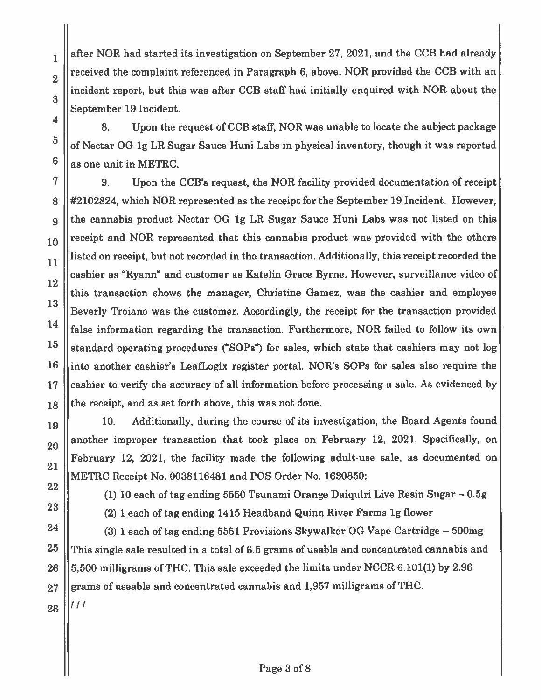after NOR had started its investigation on September 27, 2021, and the CCB had already received the complaint referenced in Paragraph 6, above. NOR provided the CCB with an incident report, but this was after CCB staff had initially enquired with NOR about the September 19 Incident.

8. Upon the request of CCB staff, NOR was unable to locate the subject package of Nectar OG 1g LR Sugar Sauce Huni Labs in physical inventory, though it was reported as one unit in METRC.

9. Upon the CCB's request, the NOR facility provided documentation of receipt #2102824, which NOR represented as the receipt for the September 19 Incident. However, the cannabis product Nectar OG 1g LR Sugar Sauce Huni Labs was not listed on this receipt and NOR represented that this cannabis product was provided with the others listed on receipt, but not recorded in the transaction. Additionally, this receipt recorded the cashier as "Ryann" and customer as Katelin Grace Byrne. However, surveillance video of this transaction shows the manager, Christine Gamez, was the cashier and employee Beverly Troiano was the customer. Accordingly, the receipt for the transaction provided false information regarding the transaction. Furthermore, NOR failed to follow its own standard operating procedures ("SOPs") for sales, which state that cashiers may not log into another cashier's LeafLogix register portal. NOR's SOPs for sales also require the cashier to verify the accuracy of all information before processing a sale. As evidenced by the receipt, and as set forth above, this was not done.

Additionally, during the course of its investigation, the Board Agents found  $10.$ another improper transaction that took place on February 12, 2021. Specifically, on February 12, 2021, the facility made the following adult-use sale, as documented on METRC Receipt No. 0038116481 and POS Order No. 1630850:

22

 $\mathbf{1}$ 

 $\overline{2}$ 

3

4

5

6

7

8

9

10

11

12

13

14

15

16

17

18

19

20

21

23

(1) 10 each of tag ending 5550 Tsunami Orange Daiquiri Live Resin Sugar – 0.5g

(2) 1 each of tag ending 1415 Headband Quinn River Farms 1g flower

24  $(3)$  1 each of tag ending 5551 Provisions Skywalker OG Vape Cartridge – 500mg 25 This single sale resulted in a total of 6.5 grams of usable and concentrated cannabis and 5,500 milligrams of THC. This sale exceeded the limits under NCCR 6.101(1) by 2.96 26 grams of useable and concentrated cannabis and 1,957 milligrams of THC. 27

28

///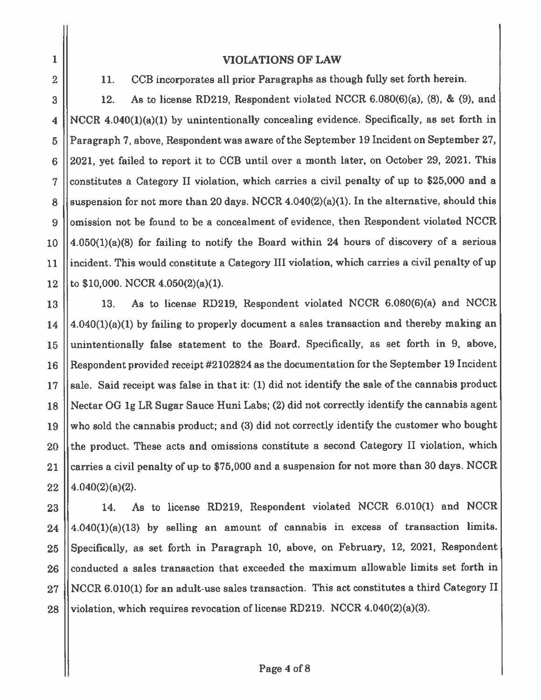$\mathbf{1}$  $\overline{2}$ 

#### **VIOLATIONS OF LAW**

CCB incorporates all prior Paragraphs as though fully set forth herein. 11.

As to license RD219, Respondent violated NCCR 6.080(6)(a), (8), & (9), and 3 12. NCCR 4.040(1)(a)(1) by unintentionally concealing evidence. Specifically, as set forth in  $\overline{\mathbf{4}}$ Paragraph 7, above, Respondent was aware of the September 19 Incident on September 27, 5 2021, yet failed to report it to CCB until over a month later, on October 29, 2021. This  $6\phantom{1}6$ constitutes a Category II violation, which carries a civil penalty of up to \$25,000 and a  $\overline{7}$ suspension for not more than 20 days. NCCR  $4.040(2)(a)(1)$ . In the alternative, should this 8 omission not be found to be a concealment of evidence, then Respondent violated NCCR 9  $4.050(1)(a)(8)$  for failing to notify the Board within 24 hours of discovery of a serious 10 incident. This would constitute a Category III violation, which carries a civil penalty of up 11 to \$10,000. NCCR 4.050(2)(a)(1). 12

As to license RD219, Respondent violated NCCR 6.080(6)(a) and NCCR 13. 13 4.040(1)(a)(1) by failing to properly document a sales transaction and thereby making an 14 unintentionally false statement to the Board. Specifically, as set forth in 9, above, 15 Respondent provided receipt#2102824 as the documentation for the September 19 Incident 16 sale. Said receipt was false in that it: (1) did not identify the sale of the cannabis product 17 Nectar OG 1g LR Sugar Sauce Huni Labs; (2) did not correctly identify the cannabis agent 18 who sold the cannabis product; and (3) did not correctly identify the customer who bought 19 the product. These acts and omissions constitute a second Category II violation, which 20 carries a civil penalty of up to  $$75,000$  and a suspension for not more than 30 days. NCCR 21  $4.040(2)(a)(2)$ . 22

14. As to license RD219, Respondent violated NCCR 6.010(1) and NCCR 23  $4.040(1)(a)(13)$  by selling an amount of cannabis in excess of transaction limits. 24 Specifically, as set forth in Paragraph 10, above, on February, 12, 2021, Respondent 25 conducted a sales transaction that exceeded the maximum allowable limits set forth in 26 NCCR 6.010(1) for an adult-use sales transaction. This act constitutes a third Category II  $27\,$ violation, which requires revocation of license RD219. NCCR 4.040(2)(a)(3). 28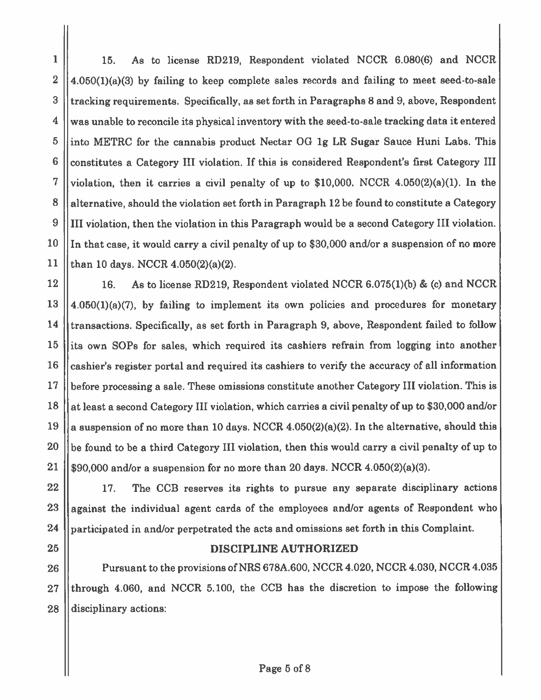$\mathbf{1}$ 15. As to license RD219, Respondent violated NCCR 6.080(6) and NCCR  $\overline{2}$  $4.050(1)(a)(3)$  by failing to keep complete sales records and failing to meet seed-to-sale 3 tracking requirements. Specifically, as set forth in Paragraphs 8 and 9, above, Respondent 4 was unable to reconcile its physical inventory with the seed-to-sale tracking data it entered 5 into METRC for the cannabis product Nectar OG 1g LR Sugar Sauce Huni Labs. This 6 constitutes a Category III violation. If this is considered Respondent's first Category III 7 violation, then it carries a civil penalty of up to  $$10,000$ . NCCR  $4.050(2)(a)(1)$ . In the 8 alternative, should the violation set forth in Paragraph 12 be found to constitute a Category 9 III violation, then the violation in this Paragraph would be a second Category III violation. 10 In that case, it would carry a civil penalty of up to \$30,000 and/or a suspension of no more 11 than 10 days. NCCR 4.050(2)(a)(2).

12 16. As to license RD219, Respondent violated NCCR 6.075(1)(b) & (c) and NCCR 13  $4.050(1)(a)(7)$ , by failing to implement its own policies and procedures for monetary 14 transactions. Specifically, as set forth in Paragraph 9, above, Respondent failed to follow its own SOPs for sales, which required its cashiers refrain from logging into another 15 16 cashier's register portal and required its cashiers to verify the accuracy of all information 17 before processing a sale. These omissions constitute another Category III violation. This is 18 at least a second Category III violation, which carries a civil penalty of up to \$30,000 and/or 19 a suspension of no more than 10 days. NCCR 4.050(2)(a)(2). In the alternative, should this 20 be found to be a third Category III violation, then this would carry a civil penalty of up to 21 \$90,000 and/or a suspension for no more than 20 days. NCCR 4.050(2)(a)(3).

The CCB reserves its rights to pursue any separate disciplinary actions 22 17. against the individual agent cards of the employees and/or agents of Respondent who 23 24 participated in and/or perpetrated the acts and omissions set forth in this Complaint.

25

#### DISCIPLINE AUTHORIZED

Pursuant to the provisions of NRS 678A.600, NCCR 4.020, NCCR 4.030, NCCR 4.035 26 through 4.060, and NCCR 5.100, the CCB has the discretion to impose the following 27 28 disciplinary actions: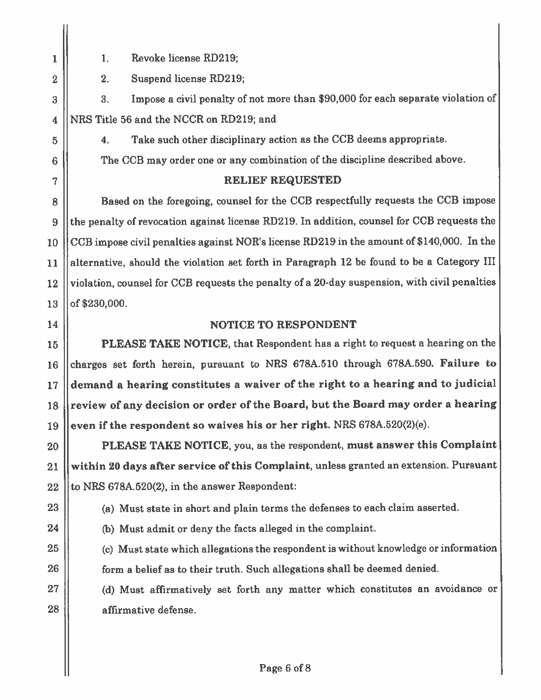Revoke license RD219;  $1.$ 

 $2.$ Suspend license RD219:

Impose a civil penalty of not more than \$90,000 for each separate violation of 3. NRS Title 56 and the NCCR on RD219; and

Take such other disciplinary action as the CCB deems appropriate.  $4.$ 

The CCB may order one or any combination of the discipline described above.

### RELIEF REQUESTED

Based on the foregoing, counsel for the CCB respectfully requests the CCB impose the penalty of revocation against license RD219. In addition, counsel for CCB requests the CCB impose civil penalties against NOR's license RD219 in the amount of \$140,000. In the alternative, should the violation set forth in Paragraph 12 be found to be a Category III violation, counsel for CCB requests the penalty of a 20-day suspension, with civil penalties of \$230,000.

# 14

## NOTICE TO RESPONDENT

**PLEASE TAKE NOTICE, that Respondent has a right to request a hearing on the** charges set forth herein, pursuant to NRS 678A.510 through 678A.590. Failure to demand a hearing constitutes a waiver of the right to a hearing and to judicial review of any decision or order of the Board, but the Board may order a hearing even if the respondent so waives his or her right. NRS 678A.520(2)(e).

PLEASE TAKE NOTICE, you, as the respondent, must answer this Complaint within 20 days after service of this Complaint, unless granted an extension. Pursuant to NRS 678A.520(2), in the answer Respondent:

(a) Must state in short and plain terms the defenses to each claim asserted.

24

25

26

27

28

- (b) Must admit or deny the facts alleged in the complaint.
- (c) Must state which allegations the respondent is without knowledge or information form a belief as to their truth. Such allegations shall be deemed denied.

(d) Must affirmatively set forth any matter which constitutes an avoidance or affirmative defense.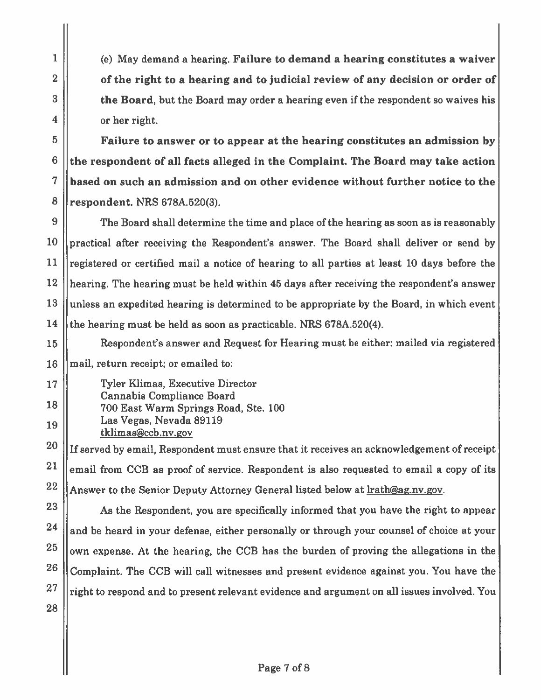(e) May demand a hearing. Failure to demand a hearing constitutes a waiver of the right to a hearing and to judicial review of any decision or order of the Board, but the Board may order a hearing even if the respondent so waives his or her right.

Failure to answer or to appear at the hearing constitutes an admission by the respondent of all facts alleged in the Complaint. The Board may take action based on such an admission and on other evidence without further notice to the respondent. NRS 678A.520(3).

The Board shall determine the time and place of the hearing as soon as is reasonably practical after receiving the Respondent's answer. The Board shall deliver or send by registered or certified mail a notice of hearing to all parties at least 10 days before the hearing. The hearing must be held within 45 days after receiving the respondent's answer unless an expedited hearing is determined to be appropriate by the Board, in which event the hearing must be held as soon as practicable. NRS 678A.520(4).

- Respondent's answer and Request for Hearing must be either: mailed via registered 15 mail, return receipt; or emailed to: 16
- **Tyler Klimas, Executive Director** 17 **Cannabis Compliance Board** 18 700 East Warm Springs Road, Ste. 100 Las Vegas, Nevada 89119 19 tklimas@ccb.nv.gov

If served by email, Respondent must ensure that it receives an acknowledgement of receipt email from CCB as proof of service. Respondent is also requested to email a copy of its Answer to the Senior Deputy Attorney General listed below at **Irath@ag.nv.gov.** 

23 As the Respondent, you are specifically informed that you have the right to appear 24 and be heard in your defense, either personally or through your counsel of choice at your 25 own expense. At the hearing, the CCB has the burden of proving the allegations in the 26 Complaint. The CCB will call witnesses and present evidence against you. You have the 27 right to respond and to present relevant evidence and argument on all issues involved. You 28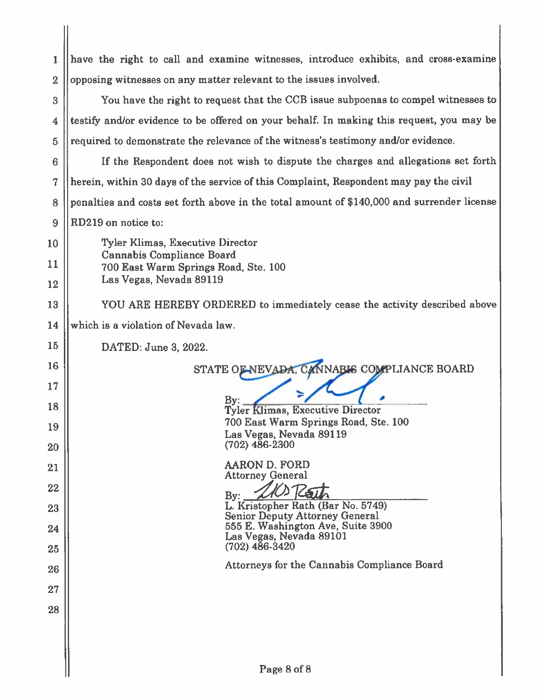| 1                       | have the right to call and examine witnesses, introduce exhibits, and cross-examine        |  |
|-------------------------|--------------------------------------------------------------------------------------------|--|
| $\overline{2}$          | opposing witnesses on any matter relevant to the issues involved.                          |  |
| 3                       | You have the right to request that the CCB issue subpoenas to compel witnesses to          |  |
| $\overline{\mathbf{4}}$ | testify and/or evidence to be offered on your behalf. In making this request, you may be   |  |
| $\overline{5}$          | required to demonstrate the relevance of the witness's testimony and/or evidence.          |  |
| 6                       | If the Respondent does not wish to dispute the charges and allegations set forth           |  |
| 7                       | herein, within 30 days of the service of this Complaint, Respondent may pay the civil      |  |
| 8                       | penalties and costs set forth above in the total amount of \$140,000 and surrender license |  |
| 9                       | RD219 on notice to:                                                                        |  |
| 10                      | Tyler Klimas, Executive Director<br>Cannabis Compliance Board                              |  |
| 11                      | 700 East Warm Springs Road, Ste. 100                                                       |  |
| 12                      | Las Vegas, Nevada 89119                                                                    |  |
| 13                      | YOU ARE HEREBY ORDERED to immediately cease the activity described above                   |  |
| 14                      | which is a violation of Nevada law.                                                        |  |
| 15                      | DATED: June 3, 2022.                                                                       |  |
| 16                      | STATE OF NEVADA, CANNABIS COMPLIANCE BOARD                                                 |  |
| 17                      |                                                                                            |  |
| 18                      | <b>Tyler Klimas, Executive Director</b><br>700 East Warm Springs Road, Ste. 100            |  |
| 19                      | Las Vegas, Nevada 89119                                                                    |  |
| 20                      | $(702)$ 486-2300                                                                           |  |
| 21                      | <b>AARON D. FORD</b><br><b>Attorney General</b>                                            |  |
| 22                      | By:<br>L. Kristopher Rath (Bar No. 5749)                                                   |  |
| 23                      | <b>Senior Deputy Attorney General</b><br>555 E. Washington Ave, Suite 3900                 |  |
| 24<br>25                | Las Vegas, Nevada 89101<br>$(702)$ 486-3420                                                |  |
| 26                      | Attorneys for the Cannabis Compliance Board                                                |  |
| 27                      |                                                                                            |  |
| 28                      |                                                                                            |  |
|                         |                                                                                            |  |
|                         |                                                                                            |  |
|                         | Page 8 of 8                                                                                |  |